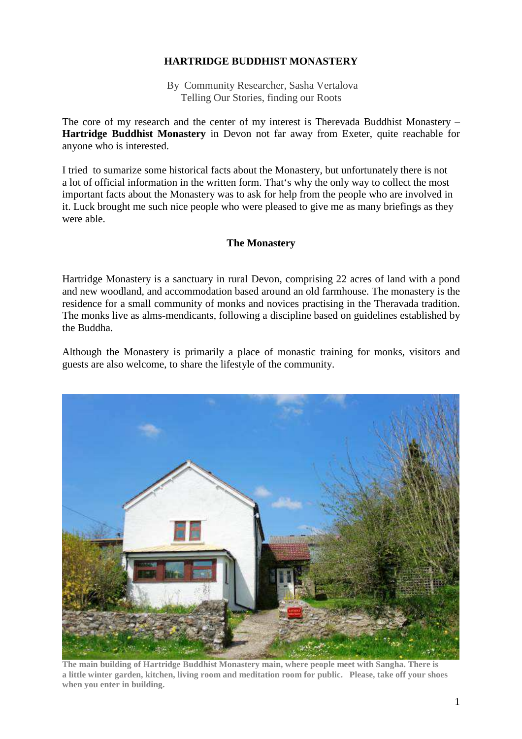## **HARTRIDGE BUDDHIST MONASTERY**

By Community Researcher, Sasha Vertalova Telling Our Stories, finding our Roots

The core of my research and the center of my interest is Therevada Buddhist Monastery – **Hartridge Buddhist Monastery** in Devon not far away from Exeter, quite reachable for anyone who is interested.

I tried to sumarize some historical facts about the Monastery, but unfortunately there is not a lot of official information in the written form. That's why the only way to collect the most important facts about the Monastery was to ask for help from the people who are involved in it. Luck brought me such nice people who were pleased to give me as many briefings as they were able.

### **The Monastery**

Hartridge Monastery is a sanctuary in rural Devon, comprising 22 acres of land with a pond and new woodland, and accommodation based around an old farmhouse. The monastery is the residence for a small community of monks and novices practising in the Theravada tradition. The monks live as alms-mendicants, following a discipline based on guidelines established by the Buddha.

Although the Monastery is primarily a place of monastic training for monks, visitors and guests are also welcome, to share the lifestyle of the community.



**The main building of Hartridge Buddhist Monastery main, where people meet with Sangha. There is a little winter garden, kitchen, living room and meditation room for public. Please, take off your shoes when you enter in building.**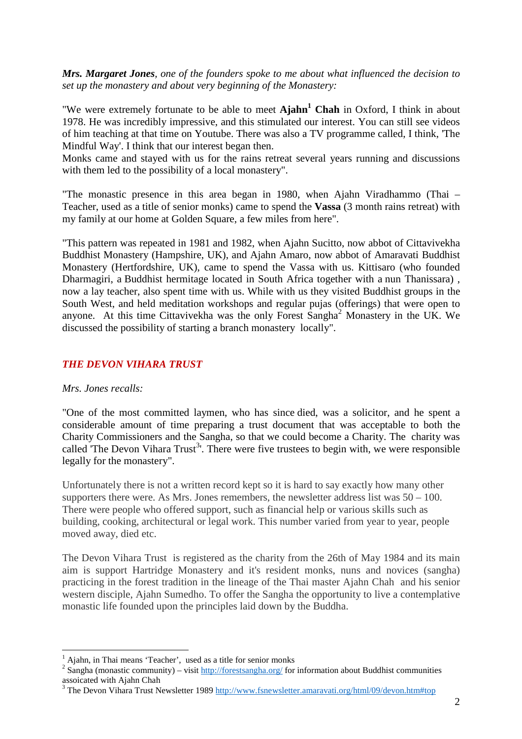*Mrs. Margaret Jones, one of the founders spoke to me about what influenced the decision to set up the monastery and about very beginning of the Monastery:* 

"We were extremely fortunate to be able to meet **Ajahn<sup>1</sup> Chah** in Oxford, I think in about 1978. He was incredibly impressive, and this stimulated our interest. You can still see videos of him teaching at that time on Youtube. There was also a TV programme called, I think, 'The Mindful Way'. I think that our interest began then.

Monks came and stayed with us for the rains retreat several years running and discussions with them led to the possibility of a local monastery".

"The monastic presence in this area began in 1980, when Ajahn Viradhammo (Thai – Teacher, used as a title of senior monks) came to spend the **Vassa** (3 month rains retreat) with my family at our home at Golden Square, a few miles from here".

"This pattern was repeated in 1981 and 1982, when Ajahn Sucitto, now abbot of Cittavivekha Buddhist Monastery (Hampshire, UK), and Ajahn Amaro, now abbot of Amaravati Buddhist Monastery (Hertfordshire, UK), came to spend the Vassa with us. Kittisaro (who founded Dharmagiri, a Buddhist hermitage located in South Africa together with a nun Thanissara) , now a lay teacher, also spent time with us. While with us they visited Buddhist groups in the South West, and held meditation workshops and regular pujas (offerings) that were open to anyone. At this time Cittavivekha was the only Forest Sangha<sup>2</sup> Monastery in the UK. We discussed the possibility of starting a branch monastery locally".

#### *THE DEVON VIHARA TRUST*

#### *Mrs. Jones recalls:*

 $\overline{a}$ 

"One of the most committed laymen, who has since died, was a solicitor, and he spent a considerable amount of time preparing a trust document that was acceptable to both the Charity Commissioners and the Sangha, so that we could become a Charity. The charity was called The Devon Vihara Trust<sup>3</sup>'. There were five trustees to begin with, we were responsible legally for the monastery".

Unfortunately there is not a written record kept so it is hard to say exactly how many other supporters there were. As Mrs. Jones remembers, the newsletter address list was  $50 - 100$ . There were people who offered support, such as financial help or various skills such as building, cooking, architectural or legal work. This number varied from year to year, people moved away, died etc.

The Devon Vihara Trust is registered as the charity from the 26th of May 1984 and its main aim is support Hartridge Monastery and it's resident monks, nuns and novices (sangha) practicing in the forest tradition in the lineage of the Thai master Ajahn Chah and his senior western disciple, Ajahn Sumedho. To offer the Sangha the opportunity to live a contemplative monastic life founded upon the principles laid down by the Buddha.

<sup>&</sup>lt;sup>1</sup> Ajahn, in Thai means 'Teacher', used as a title for senior monks

<sup>&</sup>lt;sup>2</sup> Sangha (monastic community) – visit  $\frac{http://forestsangha.org/}{http://forestsangha.org/}$  for information about Buddhist communities assoicated with Ajahn Chah

<sup>&</sup>lt;sup>3</sup> The Devon Vihara Trust Newsletter 1989 http://www.fsnewsletter.amaravati.org/html/09/devon.htm#top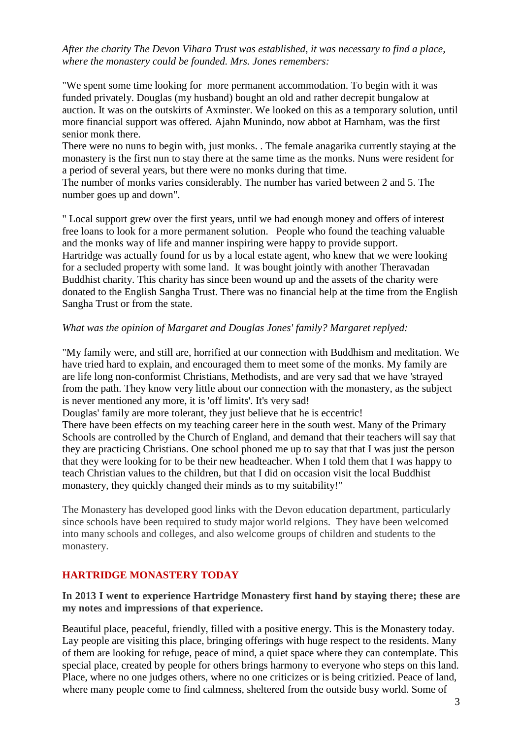### *After the charity The Devon Vihara Trust was established, it was necessary to find a place, where the monastery could be founded. Mrs. Jones remembers:*

"We spent some time looking for more permanent accommodation. To begin with it was funded privately. Douglas (my husband) bought an old and rather decrepit bungalow at auction. It was on the outskirts of Axminster. We looked on this as a temporary solution, until more financial support was offered. Ajahn Munindo, now abbot at Harnham, was the first senior monk there.

There were no nuns to begin with, just monks. . The female anagarika currently staying at the monastery is the first nun to stay there at the same time as the monks. Nuns were resident for a period of several years, but there were no monks during that time.

The number of monks varies considerably. The number has varied between 2 and 5. The number goes up and down".

" Local support grew over the first years, until we had enough money and offers of interest free loans to look for a more permanent solution. People who found the teaching valuable and the monks way of life and manner inspiring were happy to provide support. Hartridge was actually found for us by a local estate agent, who knew that we were looking for a secluded property with some land. It was bought jointly with another Theravadan Buddhist charity. This charity has since been wound up and the assets of the charity were donated to the English Sangha Trust. There was no financial help at the time from the English Sangha Trust or from the state.

### *What was the opinion of Margaret and Douglas Jones' family? Margaret replyed:*

"My family were, and still are, horrified at our connection with Buddhism and meditation. We have tried hard to explain, and encouraged them to meet some of the monks. My family are are life long non-conformist Christians, Methodists, and are very sad that we have 'strayed from the path. They know very little about our connection with the monastery, as the subject is never mentioned any more, it is 'off limits'. It's very sad!

Douglas' family are more tolerant, they just believe that he is eccentric!

There have been effects on my teaching career here in the south west. Many of the Primary Schools are controlled by the Church of England, and demand that their teachers will say that they are practicing Christians. One school phoned me up to say that that I was just the person that they were looking for to be their new headteacher. When I told them that I was happy to teach Christian values to the children, but that I did on occasion visit the local Buddhist monastery, they quickly changed their minds as to my suitability!"

The Monastery has developed good links with the Devon education department, particularly since schools have been required to study major world relgions. They have been welcomed into many schools and colleges, and also welcome groups of children and students to the monastery.

## **HARTRIDGE MONASTERY TODAY**

### **In 2013 I went to experience Hartridge Monastery first hand by staying there; these are my notes and impressions of that experience.**

Beautiful place, peaceful, friendly, filled with a positive energy. This is the Monastery today. Lay people are visiting this place, bringing offerings with huge respect to the residents. Many of them are looking for refuge, peace of mind, a quiet space where they can contemplate. This special place, created by people for others brings harmony to everyone who steps on this land. Place, where no one judges others, where no one criticizes or is being critizied. Peace of land, where many people come to find calmness, sheltered from the outside busy world. Some of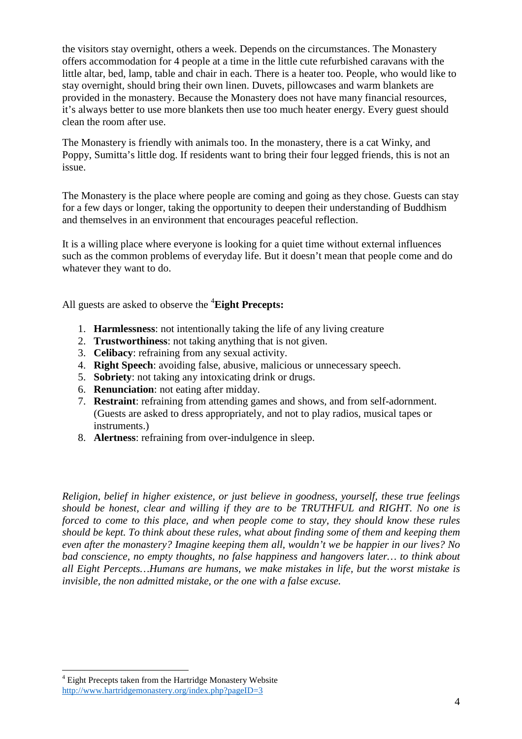the visitors stay overnight, others a week. Depends on the circumstances. The Monastery offers accommodation for 4 people at a time in the little cute refurbished caravans with the little altar, bed, lamp, table and chair in each. There is a heater too. People, who would like to stay overnight, should bring their own linen. Duvets, pillowcases and warm blankets are provided in the monastery. Because the Monastery does not have many financial resources, it's always better to use more blankets then use too much heater energy. Every guest should clean the room after use.

The Monastery is friendly with animals too. In the monastery, there is a cat Winky, and Poppy, Sumitta's little dog. If residents want to bring their four legged friends, this is not an issue.

The Monastery is the place where people are coming and going as they chose. Guests can stay for a few days or longer, taking the opportunity to deepen their understanding of Buddhism and themselves in an environment that encourages peaceful reflection.

It is a willing place where everyone is looking for a quiet time without external influences such as the common problems of everyday life. But it doesn't mean that people come and do whatever they want to do.

All guests are asked to observe the <sup>4</sup>**Eight Precepts:** 

- 1. **Harmlessness**: not intentionally taking the life of any living creature
- 2. **Trustworthiness**: not taking anything that is not given.
- 3. **Celibacy**: refraining from any sexual activity.
- 4. **Right Speech**: avoiding false, abusive, malicious or unnecessary speech.
- 5. **Sobriety**: not taking any intoxicating drink or drugs.
- 6. **Renunciation**: not eating after midday.
- 7. **Restraint**: refraining from attending games and shows, and from self-adornment. (Guests are asked to dress appropriately, and not to play radios, musical tapes or instruments.)
- 8. **Alertness**: refraining from over-indulgence in sleep.

*Religion, belief in higher existence, or just believe in goodness, yourself, these true feelings should be honest, clear and willing if they are to be TRUTHFUL and RIGHT. No one is forced to come to this place, and when people come to stay, they should know these rules should be kept. To think about these rules, what about finding some of them and keeping them even after the monastery? Imagine keeping them all, wouldn't we be happier in our lives? No bad conscience, no empty thoughts, no false happiness and hangovers later… to think about all Eight Percepts…Humans are humans, we make mistakes in life, but the worst mistake is invisible, the non admitted mistake, or the one with a false excuse.* 

 $\overline{a}$ 

<sup>&</sup>lt;sup>4</sup> Eight Precepts taken from the Hartridge Monastery Website http://www.hartridgemonastery.org/index.php?pageID=3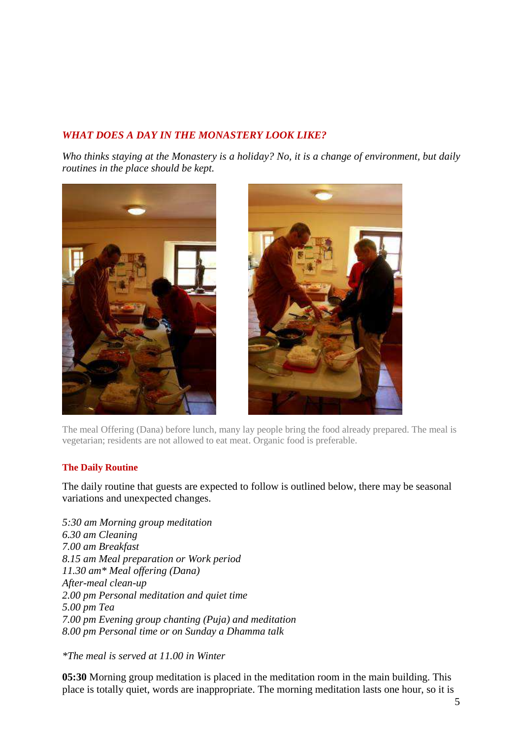# *WHAT DOES A DAY IN THE MONASTERY LOOK LIKE?*

*Who thinks staying at the Monastery is a holiday? No, it is a change of environment, but daily routines in the place should be kept.* 





The meal Offering (Dana) before lunch, many lay people bring the food already prepared. The meal is vegetarian; residents are not allowed to eat meat. Organic food is preferable.

#### **The Daily Routine**

The daily routine that guests are expected to follow is outlined below, there may be seasonal variations and unexpected changes.

*5:30 am Morning group meditation 6.30 am Cleaning 7.00 am Breakfast 8.15 am Meal preparation or Work period 11.30 am\* Meal offering (Dana) After-meal clean-up 2.00 pm Personal meditation and quiet time 5.00 pm Tea 7.00 pm Evening group chanting (Puja) and meditation 8.00 pm Personal time or on Sunday a Dhamma talk* 

*\*The meal is served at 11.00 in Winter* 

**05:30** Morning group meditation is placed in the meditation room in the main building. This place is totally quiet, words are inappropriate. The morning meditation lasts one hour, so it is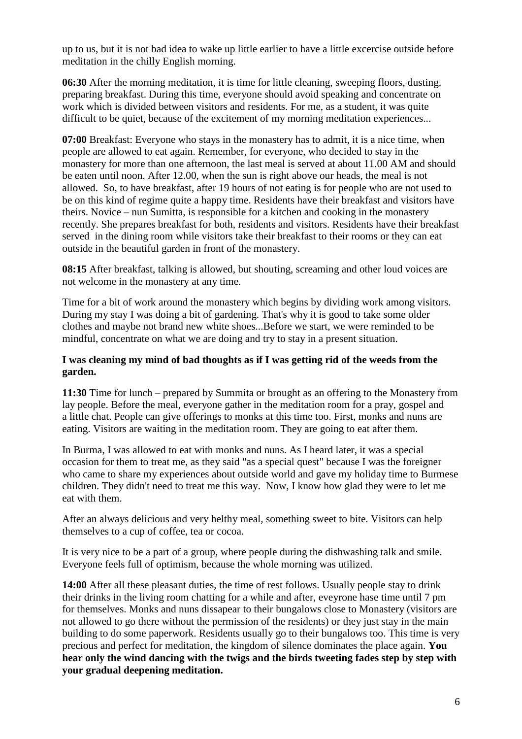up to us, but it is not bad idea to wake up little earlier to have a little excercise outside before meditation in the chilly English morning.

**06:30** After the morning meditation, it is time for little cleaning, sweeping floors, dusting, preparing breakfast. During this time, everyone should avoid speaking and concentrate on work which is divided between visitors and residents. For me, as a student, it was quite difficult to be quiet, because of the excitement of my morning meditation experiences...

**07:00** Breakfast: Everyone who stays in the monastery has to admit, it is a nice time, when people are allowed to eat again. Remember, for everyone, who decided to stay in the monastery for more than one afternoon, the last meal is served at about 11.00 AM and should be eaten until noon. After 12.00, when the sun is right above our heads, the meal is not allowed. So, to have breakfast, after 19 hours of not eating is for people who are not used to be on this kind of regime quite a happy time. Residents have their breakfast and visitors have theirs. Novice – nun Sumitta, is responsible for a kitchen and cooking in the monastery recently. She prepares breakfast for both, residents and visitors. Residents have their breakfast served in the dining room while visitors take their breakfast to their rooms or they can eat outside in the beautiful garden in front of the monastery.

**08:15** After breakfast, talking is allowed, but shouting, screaming and other loud voices are not welcome in the monastery at any time.

Time for a bit of work around the monastery which begins by dividing work among visitors. During my stay I was doing a bit of gardening. That's why it is good to take some older clothes and maybe not brand new white shoes...Before we start, we were reminded to be mindful, concentrate on what we are doing and try to stay in a present situation.

### **I was cleaning my mind of bad thoughts as if I was getting rid of the weeds from the garden.**

**11:30** Time for lunch – prepared by Summita or brought as an offering to the Monastery from lay people. Before the meal, everyone gather in the meditation room for a pray, gospel and a little chat. People can give offerings to monks at this time too. First, monks and nuns are eating. Visitors are waiting in the meditation room. They are going to eat after them.

In Burma, I was allowed to eat with monks and nuns. As I heard later, it was a special occasion for them to treat me, as they said "as a special quest" because I was the foreigner who came to share my experiences about outside world and gave my holiday time to Burmese children. They didn't need to treat me this way. Now, I know how glad they were to let me eat with them.

After an always delicious and very helthy meal, something sweet to bite. Visitors can help themselves to a cup of coffee, tea or cocoa.

It is very nice to be a part of a group, where people during the dishwashing talk and smile. Everyone feels full of optimism, because the whole morning was utilized.

**14:00** After all these pleasant duties, the time of rest follows. Usually people stay to drink their drinks in the living room chatting for a while and after, eveyrone hase time until 7 pm for themselves. Monks and nuns dissapear to their bungalows close to Monastery (visitors are not allowed to go there without the permission of the residents) or they just stay in the main building to do some paperwork. Residents usually go to their bungalows too. This time is very precious and perfect for meditation, the kingdom of silence dominates the place again. **You hear only the wind dancing with the twigs and the birds tweeting fades step by step with your gradual deepening meditation.**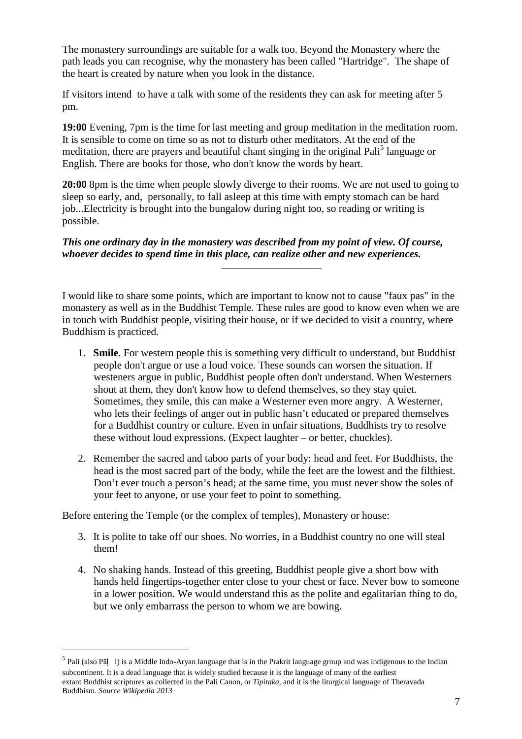The monastery surroundings are suitable for a walk too. Beyond the Monastery where the path leads you can recognise, why the monastery has been called "Hartridge". The shape of the heart is created by nature when you look in the distance.

If visitors intend to have a talk with some of the residents they can ask for meeting after 5 pm.

**19:00** Evening, 7pm is the time for last meeting and group meditation in the meditation room. It is sensible to come on time so as not to disturb other meditators. At the end of the meditation, there are prayers and beautiful chant singing in the original Pali<sup>5</sup> language or English. There are books for those, who don't know the words by heart.

**20:00** 8pm is the time when people slowly diverge to their rooms. We are not used to going to sleep so early, and, personally, to fall asleep at this time with empty stomach can be hard job...Electricity is brought into the bungalow during night too, so reading or writing is possible.

*This one ordinary day in the monastery was described from my point of view. Of course, whoever decides to spend time in this place, can realize other and new experiences.* 

I would like to share some points, which are important to know not to cause "faux pas" in the monastery as well as in the Buddhist Temple. These rules are good to know even when we are in touch with Buddhist people, visiting their house, or if we decided to visit a country, where Buddhism is practiced.

- 1. **Smile**. For western people this is something very difficult to understand, but Buddhist people don't argue or use a loud voice. These sounds can worsen the situation. If westeners argue in public, Buddhist people often don't understand. When Westerners shout at them, they don't know how to defend themselves, so they stay quiet. Sometimes, they smile, this can make a Westerner even more angry. A Westerner, who lets their feelings of anger out in public hasn't educated or prepared themselves for a Buddhist country or culture. Even in unfair situations, Buddhists try to resolve these without loud expressions. (Expect laughter – or better, chuckles).
- 2. Remember the sacred and taboo parts of your body: head and feet. For Buddhists, the head is the most sacred part of the body, while the feet are the lowest and the filthiest. Don't ever touch a person's head; at the same time, you must never show the soles of your feet to anyone, or use your feet to point to something.

Before entering the Temple (or the complex of temples), Monastery or house:

 $\overline{a}$ 

- 3. It is polite to take off our shoes. No worries, in a Buddhist country no one will steal them!
- 4. No shaking hands. Instead of this greeting, Buddhist people give a short bow with hands held fingertips-together enter close to your chest or face. Never bow to someone in a lower position. We would understand this as the polite and egalitarian thing to do, but we only embarrass the person to whom we are bowing.

<sup>&</sup>lt;sup>5</sup> Pali (also Pāļ i) is a Middle Indo-Aryan language that is in the Prakrit language group and was indigenous to the Indian subcontinent. It is a dead language that is widely studied because it is the language of many of the earliest extant Buddhist scriptures as collected in the Pali Canon, or *Tipitaka*, and it is the liturgical language of Theravada Buddhism. *Source Wikipedia 2013*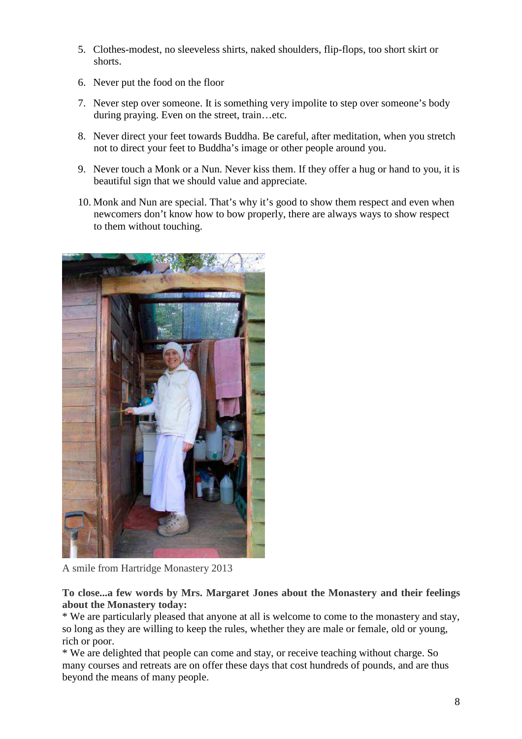- 5. Clothes-modest, no sleeveless shirts, naked shoulders, flip-flops, too short skirt or shorts.
- 6. Never put the food on the floor
- 7. Never step over someone. It is something very impolite to step over someone's body during praying. Even on the street, train…etc.
- 8. Never direct your feet towards Buddha. Be careful, after meditation, when you stretch not to direct your feet to Buddha's image or other people around you.
- 9. Never touch a Monk or a Nun. Never kiss them. If they offer a hug or hand to you, it is beautiful sign that we should value and appreciate.
- 10. Monk and Nun are special. That's why it's good to show them respect and even when newcomers don't know how to bow properly, there are always ways to show respect to them without touching.



A smile from Hartridge Monastery 2013

**To close...a few words by Mrs. Margaret Jones about the Monastery and their feelings about the Monastery today:** 

\* We are particularly pleased that anyone at all is welcome to come to the monastery and stay, so long as they are willing to keep the rules, whether they are male or female, old or young, rich or poor.

\* We are delighted that people can come and stay, or receive teaching without charge. So many courses and retreats are on offer these days that cost hundreds of pounds, and are thus beyond the means of many people.